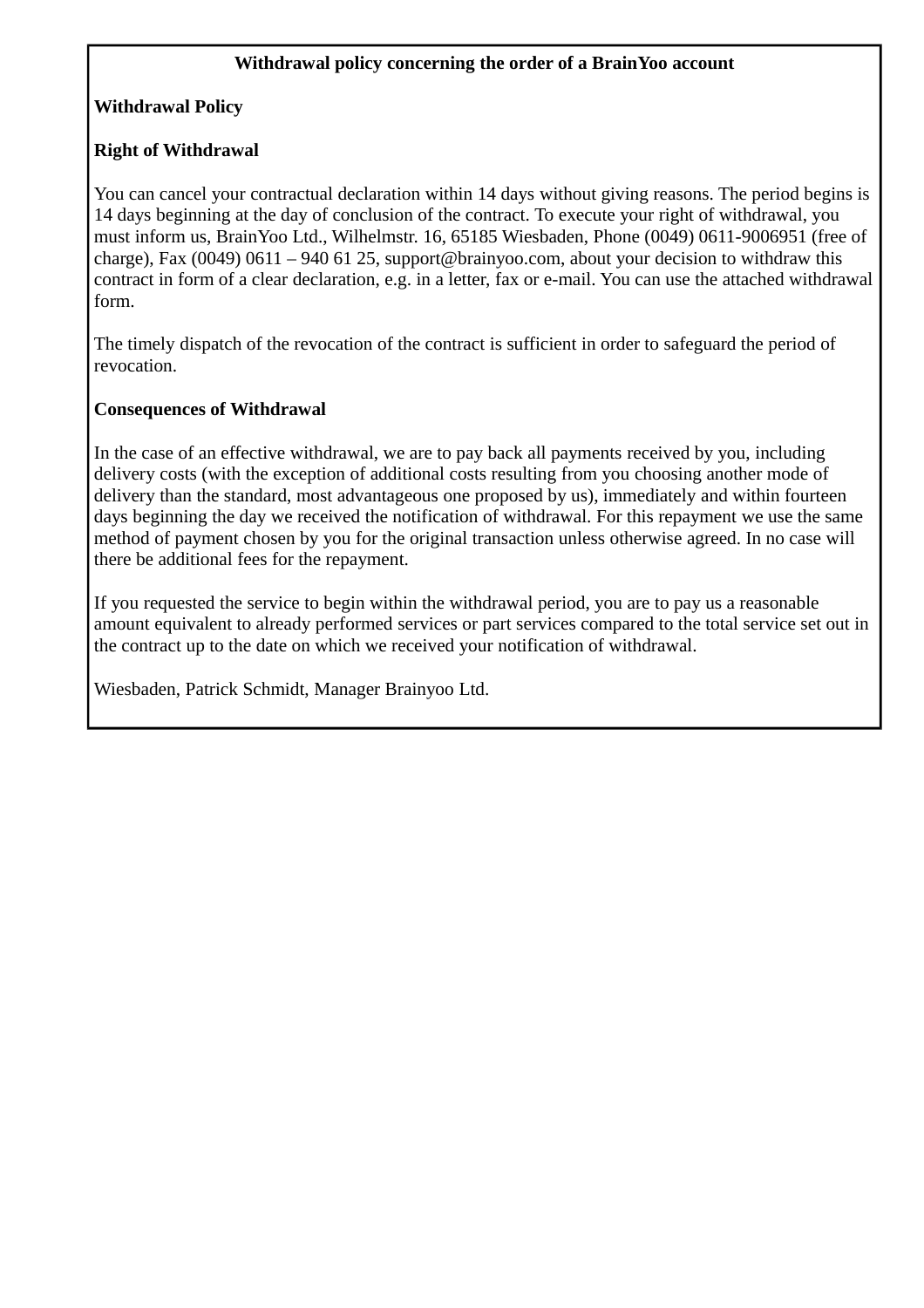## **Withdrawal policy concerning the order of a BrainYoo account**

# **Withdrawal Policy**

## **Right of Withdrawal**

You can cancel your contractual declaration within 14 days without giving reasons. The period begins is 14 days beginning at the day of conclusion of the contract. To execute your right of withdrawal, you must inform us, BrainYoo Ltd., Wilhelmstr. 16, 65185 Wiesbaden, Phone (0049) 0611-9006951 (free of charge), Fax (0049) 0611 – 940 61 25, support@brainyoo.com, about your decision to withdraw this contract in form of a clear declaration, e.g. in a letter, fax or e-mail. You can use the attached withdrawal form.

The timely dispatch of the revocation of the contract is sufficient in order to safeguard the period of revocation.

#### **Consequences of Withdrawal**

In the case of an effective withdrawal, we are to pay back all payments received by you, including delivery costs (with the exception of additional costs resulting from you choosing another mode of delivery than the standard, most advantageous one proposed by us), immediately and within fourteen days beginning the day we received the notification of withdrawal. For this repayment we use the same method of payment chosen by you for the original transaction unless otherwise agreed. In no case will there be additional fees for the repayment.

If you requested the service to begin within the withdrawal period, you are to pay us a reasonable amount equivalent to already performed services or part services compared to the total service set out in the contract up to the date on which we received your notification of withdrawal.

Wiesbaden, Patrick Schmidt, Manager Brainyoo Ltd.